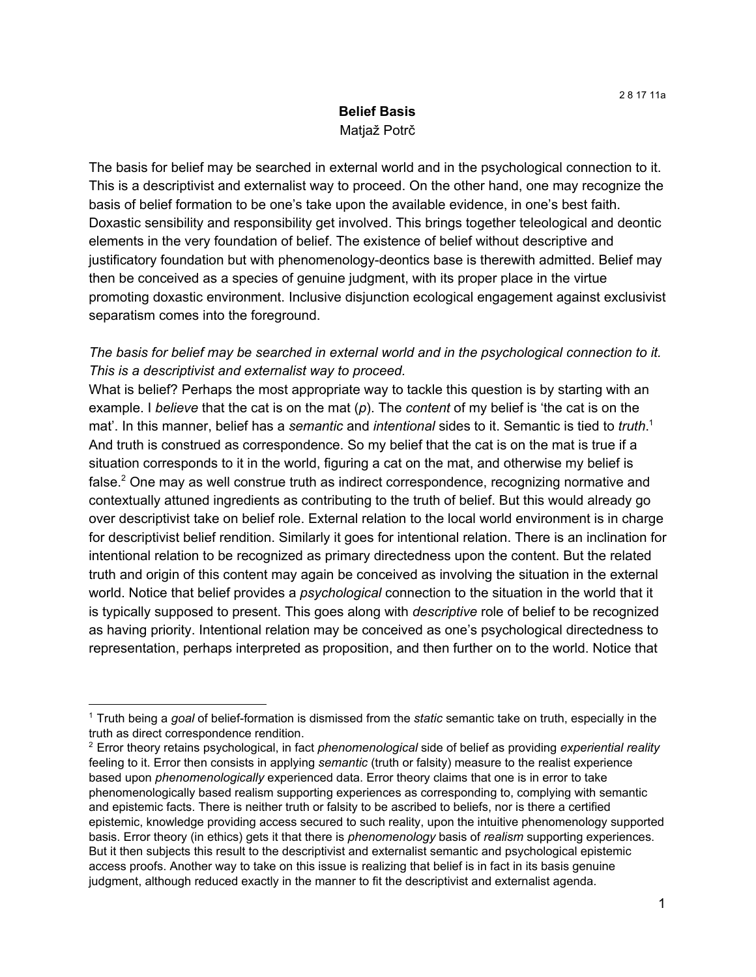### **Belief Basis** Matjaž Potrč

The basis for belief may be searched in external world and in the psychological connection to it. This is a descriptivist and externalist way to proceed. On the other hand, one may recognize the basis of belief formation to be one's take upon the available evidence, in one's best faith. Doxastic sensibility and responsibility get involved. This brings together teleological and deontic elements in the very foundation of belief. The existence of belief without descriptive and justificatory foundation but with phenomenology-deontics base is therewith admitted. Belief may then be conceived as a species of genuine judgment, with its proper place in the virtue promoting doxastic environment. Inclusive disjunction ecological engagement against exclusivist separatism comes into the foreground.

### *The basis for belief may be searched in external world and in the psychological connection to it. This is a descriptivist and externalist way to proceed.*

What is belief? Perhaps the most appropriate way to tackle this question is by starting with an example. I *believe* that the cat is on the mat (*p*). The *content* of my belief is 'the cat is on the mat'. In this manner, belief has a *semantic* and *intentional* sides to it. Semantic is tied to *truth*. 1 And truth is construed as correspondence. So my belief that the cat is on the mat is true if a situation corresponds to it in the world, figuring a cat on the mat, and otherwise my belief is false. $2$  One may as well construe truth as indirect correspondence, recognizing normative and contextually attuned ingredients as contributing to the truth of belief. But this would already go over descriptivist take on belief role. External relation to the local world environment is in charge for descriptivist belief rendition. Similarly it goes for intentional relation. There is an inclination for intentional relation to be recognized as primary directedness upon the content. But the related truth and origin of this content may again be conceived as involving the situation in the external world. Notice that belief provides a *psychological* connection to the situation in the world that it is typically supposed to present. This goes along with *descriptive* role of belief to be recognized as having priority. Intentional relation may be conceived as one's psychological directedness to representation, perhaps interpreted as proposition, and then further on to the world. Notice that

<sup>1</sup> Truth being a *goal* of belief-formation is dismissed from the *static* semantic take on truth, especially in the truth as direct correspondence rendition.

<sup>2</sup> Error theory retains psychological, in fact *phenomenological* side of belief as providing *experiential reality* feeling to it. Error then consists in applying *semantic* (truth or falsity) measure to the realist experience based upon *phenomenologically* experienced data. Error theory claims that one is in error to take phenomenologically based realism supporting experiences as corresponding to, complying with semantic and epistemic facts. There is neither truth or falsity to be ascribed to beliefs, nor is there a certified epistemic, knowledge providing access secured to such reality, upon the intuitive phenomenology supported basis. Error theory (in ethics) gets it that there is *phenomenology* basis of *realism* supporting experiences. But it then subjects this result to the descriptivist and externalist semantic and psychological epistemic access proofs. Another way to take on this issue is realizing that belief is in fact in its basis genuine judgment, although reduced exactly in the manner to fit the descriptivist and externalist agenda.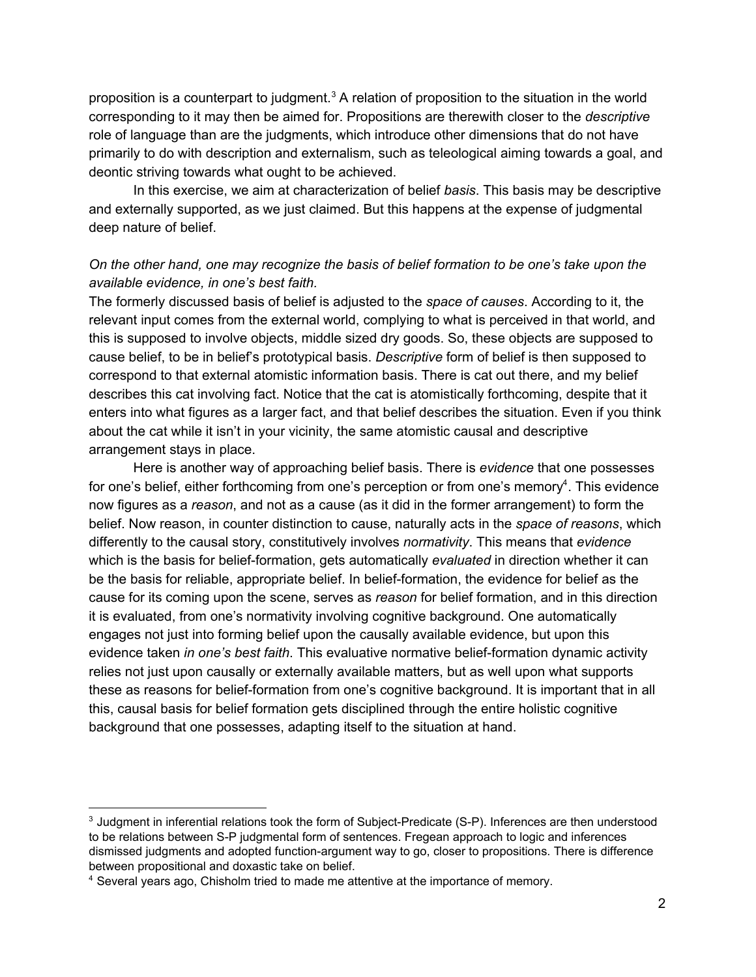proposition is a counterpart to judgment.<sup>3</sup> A relation of proposition to the situation in the world corresponding to it may then be aimed for. Propositions are therewith closer to the *descriptive* role of language than are the judgments, which introduce other dimensions that do not have primarily to do with description and externalism, such as teleological aiming towards a goal, and deontic striving towards what ought to be achieved.

In this exercise, we aim at characterization of belief *basis*. This basis may be descriptive and externally supported, as we just claimed. But this happens at the expense of judgmental deep nature of belief.

## *On the other hand, one may recognize the basis of belief formation to be one's take upon the available evidence, in one's best faith.*

The formerly discussed basis of belief is adjusted to the *space of causes*. According to it, the relevant input comes from the external world, complying to what is perceived in that world, and this is supposed to involve objects, middle sized dry goods. So, these objects are supposed to cause belief, to be in belief's prototypical basis. *Descriptive* form of belief is then supposed to correspond to that external atomistic information basis. There is cat out there, and my belief describes this cat involving fact. Notice that the cat is atomistically forthcoming, despite that it enters into what figures as a larger fact, and that belief describes the situation. Even if you think about the cat while it isn't in your vicinity, the same atomistic causal and descriptive arrangement stays in place.

Here is another way of approaching belief basis. There is *evidence* that one possesses for one's belief, either forthcoming from one's perception or from one's memory<sup>4</sup>. This evidence now figures as a *reason*, and not as a cause (as it did in the former arrangement) to form the belief. Now reason, in counter distinction to cause, naturally acts in the *space of reasons*, which differently to the causal story, constitutively involves *normativity*. This means that *evidence* which is the basis for belief-formation, gets automatically *evaluated* in direction whether it can be the basis for reliable, appropriate belief. In belief-formation, the evidence for belief as the cause for its coming upon the scene, serves as *reason* for belief formation, and in this direction it is evaluated, from one's normativity involving cognitive background. One automatically engages not just into forming belief upon the causally available evidence, but upon this evidence taken *in one's best faith*. This evaluative normative belief-formation dynamic activity relies not just upon causally or externally available matters, but as well upon what supports these as reasons for belief-formation from one's cognitive background. It is important that in all this, causal basis for belief formation gets disciplined through the entire holistic cognitive background that one possesses, adapting itself to the situation at hand.

<sup>&</sup>lt;sup>3</sup> Judgment in inferential relations took the form of Subject-Predicate (S-P). Inferences are then understood to be relations between S-P judgmental form of sentences. Fregean approach to logic and inferences dismissed judgments and adopted function-argument way to go, closer to propositions. There is difference between propositional and doxastic take on belief.

<sup>4</sup> Several years ago, Chisholm tried to made me attentive at the importance of memory.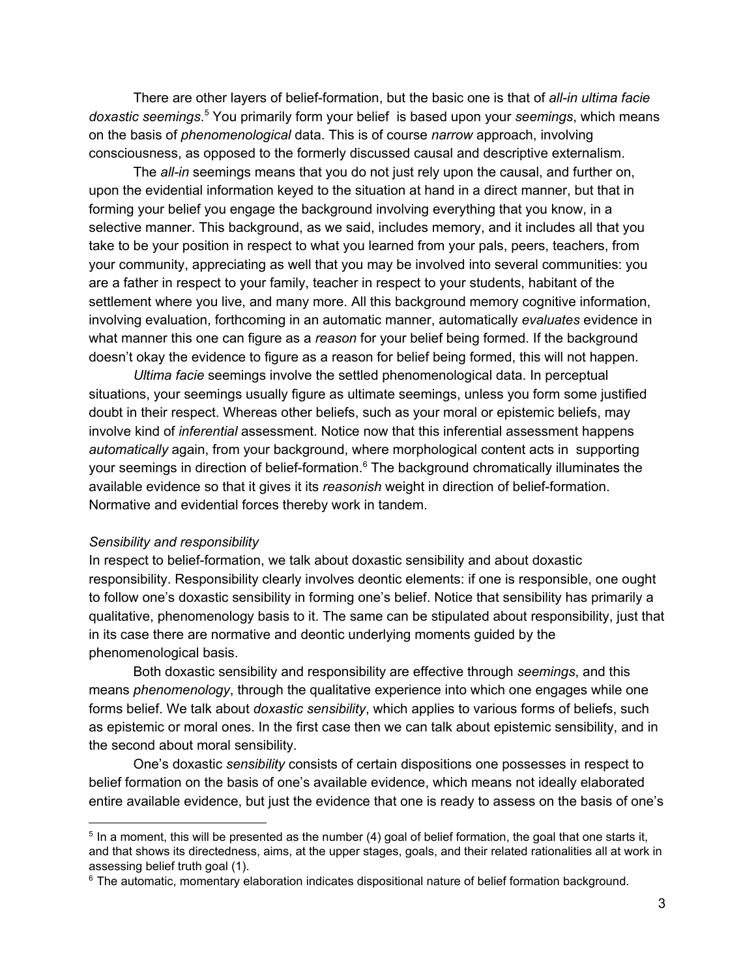There are other layers of belief-formation, but the basic one is that of *all-in ultima facie* doxastic seemings.<sup>5</sup> You primarily form your belief is based upon your seemings, which means on the basis of *phenomenological* data. This is of course *narrow* approach, involving consciousness, as opposed to the formerly discussed causal and descriptive externalism.

The *all-in* seemings means that you do not just rely upon the causal, and further on, upon the evidential information keyed to the situation at hand in a direct manner, but that in forming your belief you engage the background involving everything that you know, in a selective manner. This background, as we said, includes memory, and it includes all that you take to be your position in respect to what you learned from your pals, peers, teachers, from your community, appreciating as well that you may be involved into several communities: you are a father in respect to your family, teacher in respect to your students, habitant of the settlement where you live, and many more. All this background memory cognitive information, involving evaluation, forthcoming in an automatic manner, automatically *evaluates* evidence in what manner this one can figure as a *reason* for your belief being formed. If the background doesn't okay the evidence to figure as a reason for belief being formed, this will not happen.

*Ultima facie* seemings involve the settled phenomenological data. In perceptual situations, your seemings usually figure as ultimate seemings, unless you form some justified doubt in their respect. Whereas other beliefs, such as your moral or epistemic beliefs, may involve kind of *inferential* assessment. Notice now that this inferential assessment happens *automatically* again, from your background, where morphological content acts in supporting your seemings in direction of belief-formation.<sup>6</sup> The background chromatically illuminates the available evidence so that it gives it its *reasonish* weight in direction of belief-formation. Normative and evidential forces thereby work in tandem.

### *Sensibility and responsibility*

In respect to belief-formation, we talk about doxastic sensibility and about doxastic responsibility. Responsibility clearly involves deontic elements: if one is responsible, one ought to follow one's doxastic sensibility in forming one's belief. Notice that sensibility has primarily a qualitative, phenomenology basis to it. The same can be stipulated about responsibility, just that in its case there are normative and deontic underlying moments guided by the phenomenological basis.

Both doxastic sensibility and responsibility are effective through *seemings*, and this means *phenomenology*, through the qualitative experience into which one engages while one forms belief. We talk about *doxastic sensibility*, which applies to various forms of beliefs, such as epistemic or moral ones. In the first case then we can talk about epistemic sensibility, and in the second about moral sensibility.

One's doxastic *sensibility* consists of certain dispositions one possesses in respect to belief formation on the basis of one's available evidence, which means not ideally elaborated entire available evidence, but just the evidence that one is ready to assess on the basis of one's

<sup>&</sup>lt;sup>5</sup> In a moment, this will be presented as the number (4) goal of belief formation, the goal that one starts it, and that shows its directedness, aims, at the upper stages, goals, and their related rationalities all at work in assessing belief truth goal (1).

<sup>&</sup>lt;sup>6</sup> The automatic, momentary elaboration indicates dispositional nature of belief formation background.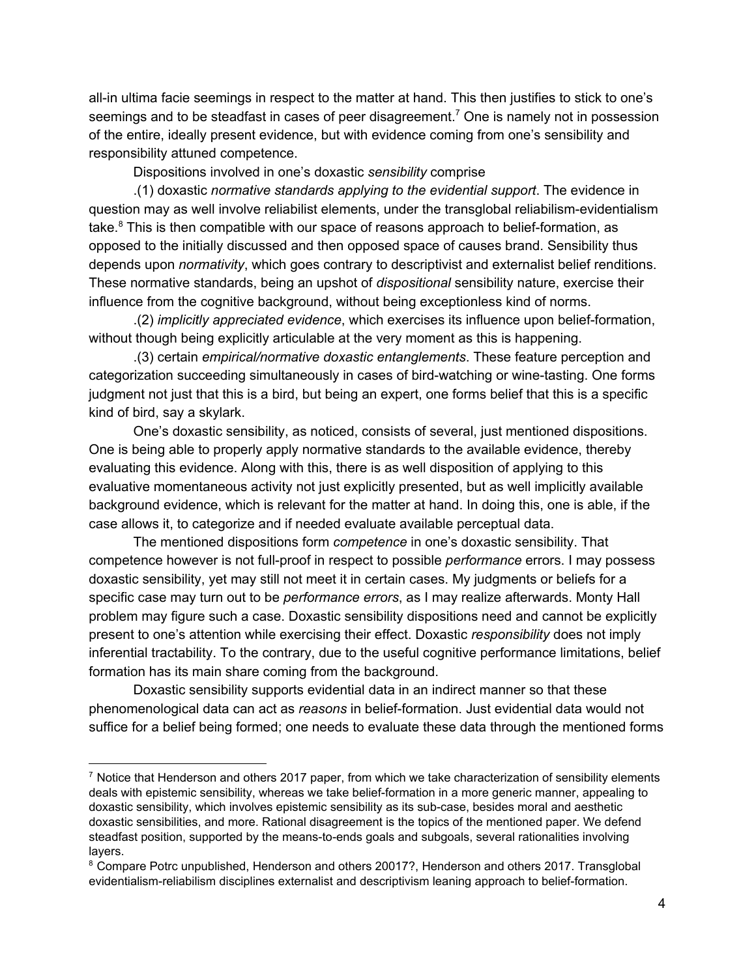all-in ultima facie seemings in respect to the matter at hand. This then justifies to stick to one's seemings and to be steadfast in cases of peer disagreement.<sup>7</sup> One is namely not in possession of the entire, ideally present evidence, but with evidence coming from one's sensibility and responsibility attuned competence.

Dispositions involved in one's doxastic *sensibility* comprise

.(1) doxastic *normative standards applying to the evidential support*. The evidence in question may as well involve reliabilist elements, under the transglobal reliabilism-evidentialism take. $8$  This is then compatible with our space of reasons approach to belief-formation, as opposed to the initially discussed and then opposed space of causes brand. Sensibility thus depends upon *normativity*, which goes contrary to descriptivist and externalist belief renditions. These normative standards, being an upshot of *dispositional* sensibility nature, exercise their influence from the cognitive background, without being exceptionless kind of norms.

.(2) *implicitly appreciated evidence*, which exercises its influence upon belief-formation, without though being explicitly articulable at the very moment as this is happening.

.(3) certain *empirical/normative doxastic entanglements*. These feature perception and categorization succeeding simultaneously in cases of bird-watching or wine-tasting. One forms judgment not just that this is a bird, but being an expert, one forms belief that this is a specific kind of bird, say a skylark.

One's doxastic sensibility, as noticed, consists of several, just mentioned dispositions. One is being able to properly apply normative standards to the available evidence, thereby evaluating this evidence. Along with this, there is as well disposition of applying to this evaluative momentaneous activity not just explicitly presented, but as well implicitly available background evidence, which is relevant for the matter at hand. In doing this, one is able, if the case allows it, to categorize and if needed evaluate available perceptual data.

The mentioned dispositions form *competence* in one's doxastic sensibility. That competence however is not full-proof in respect to possible *performance* errors. I may possess doxastic sensibility, yet may still not meet it in certain cases. My judgments or beliefs for a specific case may turn out to be *performance errors*, as I may realize afterwards. Monty Hall problem may figure such a case. Doxastic sensibility dispositions need and cannot be explicitly present to one's attention while exercising their effect. Doxastic *responsibility* does not imply inferential tractability. To the contrary, due to the useful cognitive performance limitations, belief formation has its main share coming from the background.

Doxastic sensibility supports evidential data in an indirect manner so that these phenomenological data can act as *reasons* in belief-formation. Just evidential data would not suffice for a belief being formed; one needs to evaluate these data through the mentioned forms

 $^7$  Notice that Henderson and others 2017 paper, from which we take characterization of sensibility elements deals with epistemic sensibility, whereas we take belief-formation in a more generic manner, appealing to doxastic sensibility, which involves epistemic sensibility as its sub-case, besides moral and aesthetic doxastic sensibilities, and more. Rational disagreement is the topics of the mentioned paper. We defend steadfast position, supported by the means-to-ends goals and subgoals, several rationalities involving layers.

<sup>&</sup>lt;sup>8</sup> Compare Potrc unpublished, Henderson and others 20017?, Henderson and others 2017. Transglobal evidentialism-reliabilism disciplines externalist and descriptivism leaning approach to belief-formation.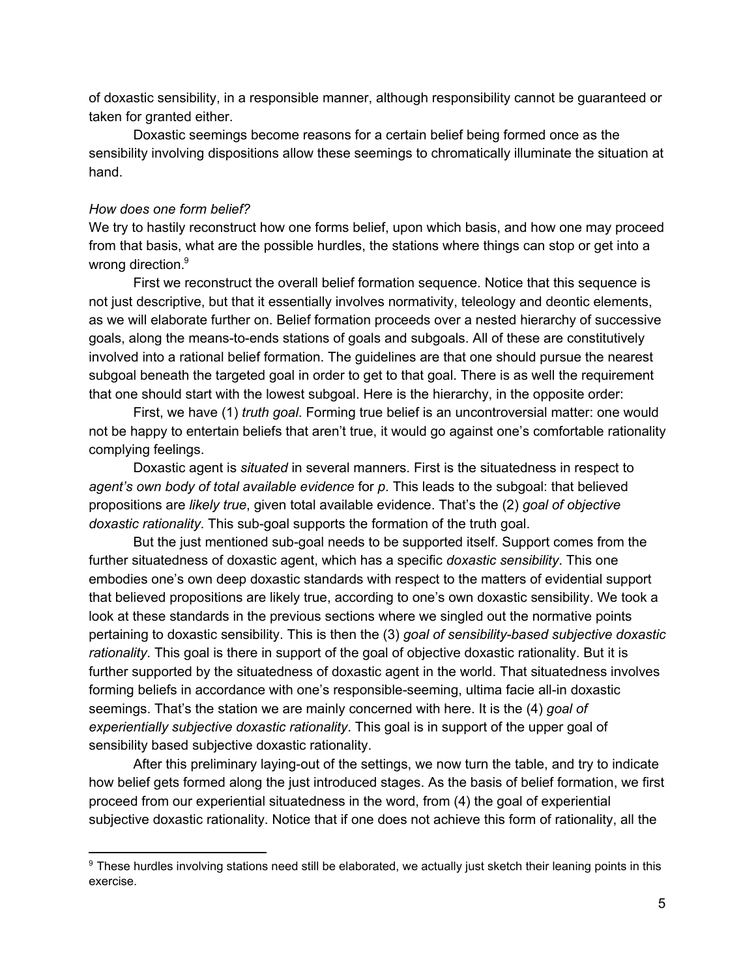of doxastic sensibility, in a responsible manner, although responsibility cannot be guaranteed or taken for granted either.

Doxastic seemings become reasons for a certain belief being formed once as the sensibility involving dispositions allow these seemings to chromatically illuminate the situation at hand.

#### *How does one form belief?*

We try to hastily reconstruct how one forms belief, upon which basis, and how one may proceed from that basis, what are the possible hurdles, the stations where things can stop or get into a wrong direction.<sup>9</sup>

First we reconstruct the overall belief formation sequence. Notice that this sequence is not just descriptive, but that it essentially involves normativity, teleology and deontic elements, as we will elaborate further on. Belief formation proceeds over a nested hierarchy of successive goals, along the means-to-ends stations of goals and subgoals. All of these are constitutively involved into a rational belief formation. The guidelines are that one should pursue the nearest subgoal beneath the targeted goal in order to get to that goal. There is as well the requirement that one should start with the lowest subgoal. Here is the hierarchy, in the opposite order:

First, we have (1) *truth goal*. Forming true belief is an uncontroversial matter: one would not be happy to entertain beliefs that aren't true, it would go against one's comfortable rationality complying feelings.

Doxastic agent is *situated* in several manners. First is the situatedness in respect to *agent's own body of total available evidence* for *p*. This leads to the subgoal: that believed propositions are *likely true*, given total available evidence. That's the (2) *goal of objective doxastic rationality*. This sub-goal supports the formation of the truth goal.

But the just mentioned sub-goal needs to be supported itself. Support comes from the further situatedness of doxastic agent, which has a specific *doxastic sensibility*. This one embodies one's own deep doxastic standards with respect to the matters of evidential support that believed propositions are likely true, according to one's own doxastic sensibility. We took a look at these standards in the previous sections where we singled out the normative points pertaining to doxastic sensibility. This is then the (3) *goal of sensibility-based subjective doxastic rationality*. This goal is there in support of the goal of objective doxastic rationality. But it is further supported by the situatedness of doxastic agent in the world. That situatedness involves forming beliefs in accordance with one's responsible-seeming, ultima facie all-in doxastic seemings. That's the station we are mainly concerned with here. It is the (4) *goal of experientially subjective doxastic rationality*. This goal is in support of the upper goal of sensibility based subjective doxastic rationality.

After this preliminary laying-out of the settings, we now turn the table, and try to indicate how belief gets formed along the just introduced stages. As the basis of belief formation, we first proceed from our experiential situatedness in the word, from (4) the goal of experiential subjective doxastic rationality. Notice that if one does not achieve this form of rationality, all the

<sup>&</sup>lt;sup>9</sup> These hurdles involving stations need still be elaborated, we actually just sketch their leaning points in this exercise.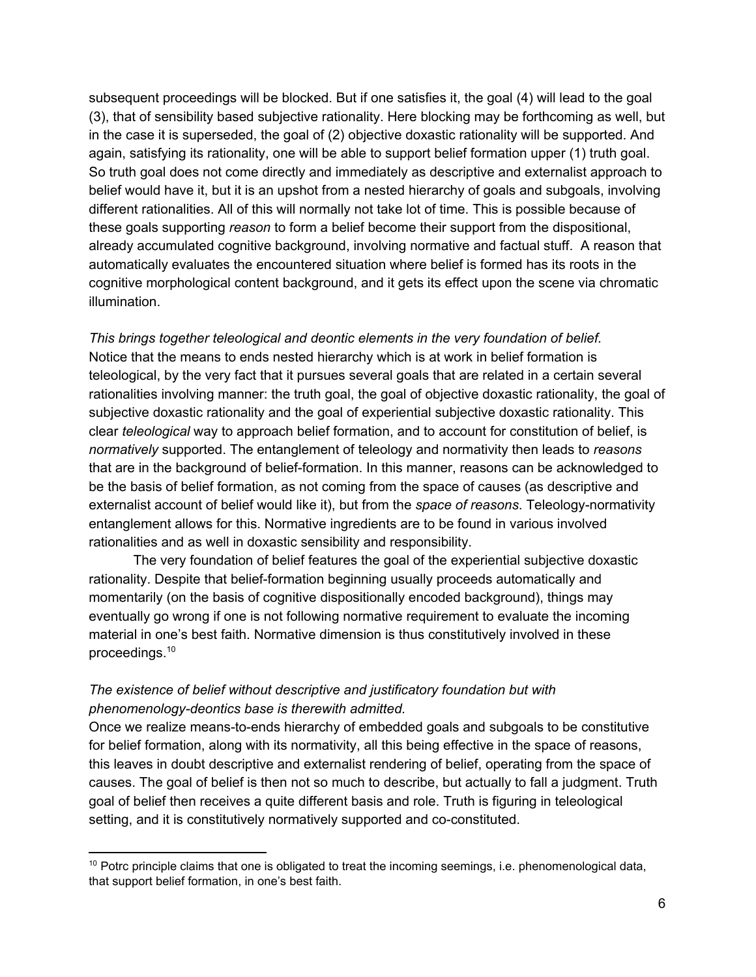subsequent proceedings will be blocked. But if one satisfies it, the goal (4) will lead to the goal (3), that of sensibility based subjective rationality. Here blocking may be forthcoming as well, but in the case it is superseded, the goal of (2) objective doxastic rationality will be supported. And again, satisfying its rationality, one will be able to support belief formation upper (1) truth goal. So truth goal does not come directly and immediately as descriptive and externalist approach to belief would have it, but it is an upshot from a nested hierarchy of goals and subgoals, involving different rationalities. All of this will normally not take lot of time. This is possible because of these goals supporting *reason* to form a belief become their support from the dispositional, already accumulated cognitive background, involving normative and factual stuff. A reason that automatically evaluates the encountered situation where belief is formed has its roots in the cognitive morphological content background, and it gets its effect upon the scene via chromatic illumination.

*This brings together teleological and deontic elements in the very foundation of belief.* Notice that the means to ends nested hierarchy which is at work in belief formation is teleological, by the very fact that it pursues several goals that are related in a certain several rationalities involving manner: the truth goal, the goal of objective doxastic rationality, the goal of subjective doxastic rationality and the goal of experiential subjective doxastic rationality. This clear *teleological* way to approach belief formation, and to account for constitution of belief, is *normatively* supported. The entanglement of teleology and normativity then leads to *reasons* that are in the background of belief-formation. In this manner, reasons can be acknowledged to be the basis of belief formation, as not coming from the space of causes (as descriptive and externalist account of belief would like it), but from the *space of reasons*. Teleology-normativity entanglement allows for this. Normative ingredients are to be found in various involved rationalities and as well in doxastic sensibility and responsibility.

The very foundation of belief features the goal of the experiential subjective doxastic rationality. Despite that belief-formation beginning usually proceeds automatically and momentarily (on the basis of cognitive dispositionally encoded background), things may eventually go wrong if one is not following normative requirement to evaluate the incoming material in one's best faith. Normative dimension is thus constitutively involved in these proceedings.<sup>10</sup>

## *The existence of belief without descriptive and justificatory foundation but with phenomenology-deontics base is therewith admitted.*

Once we realize means-to-ends hierarchy of embedded goals and subgoals to be constitutive for belief formation, along with its normativity, all this being effective in the space of reasons, this leaves in doubt descriptive and externalist rendering of belief, operating from the space of causes. The goal of belief is then not so much to describe, but actually to fall a judgment. Truth goal of belief then receives a quite different basis and role. Truth is figuring in teleological setting, and it is constitutively normatively supported and co-constituted.

<sup>&</sup>lt;sup>10</sup> Potrc principle claims that one is obligated to treat the incoming seemings, i.e. phenomenological data, that support belief formation, in one's best faith.